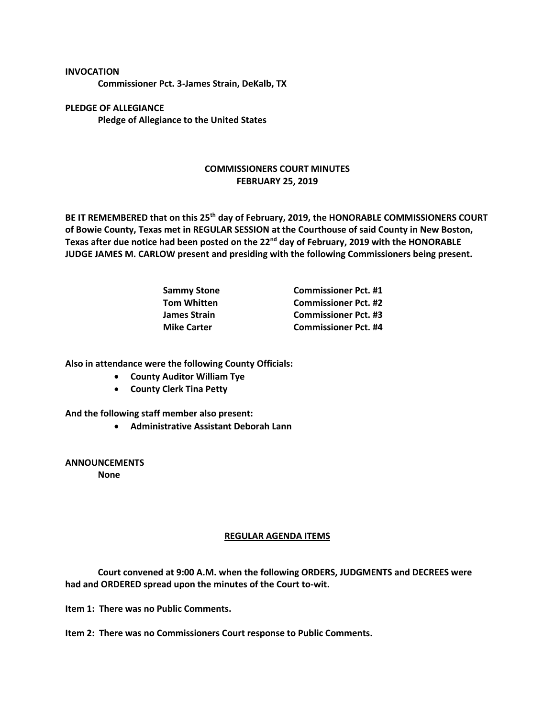**INVOCATION**

**Commissioner Pct. 3-James Strain, DeKalb, TX**

**PLEDGE OF ALLEGIANCE Pledge of Allegiance to the United States**

## **COMMISSIONERS COURT MINUTES FEBRUARY 25, 2019**

**BE IT REMEMBERED that on this 25th day of February, 2019, the HONORABLE COMMISSIONERS COURT of Bowie County, Texas met in REGULAR SESSION at the Courthouse of said County in New Boston, Texas after due notice had been posted on the 22nd day of February, 2019 with the HONORABLE JUDGE JAMES M. CARLOW present and presiding with the following Commissioners being present.**

| Sammy Stone        | <b>Commissioner Pct. #1</b> |
|--------------------|-----------------------------|
| Tom Whitten        | <b>Commissioner Pct. #2</b> |
| James Strain       | <b>Commissioner Pct. #3</b> |
| <b>Mike Carter</b> | <b>Commissioner Pct. #4</b> |

**Also in attendance were the following County Officials:**

- **County Auditor William Tye**
- **County Clerk Tina Petty**

**And the following staff member also present:**

• **Administrative Assistant Deborah Lann**

**ANNOUNCEMENTS None**

## **REGULAR AGENDA ITEMS**

**Court convened at 9:00 A.M. when the following ORDERS, JUDGMENTS and DECREES were had and ORDERED spread upon the minutes of the Court to-wit.**

**Item 1: There was no Public Comments.**

**Item 2: There was no Commissioners Court response to Public Comments.**